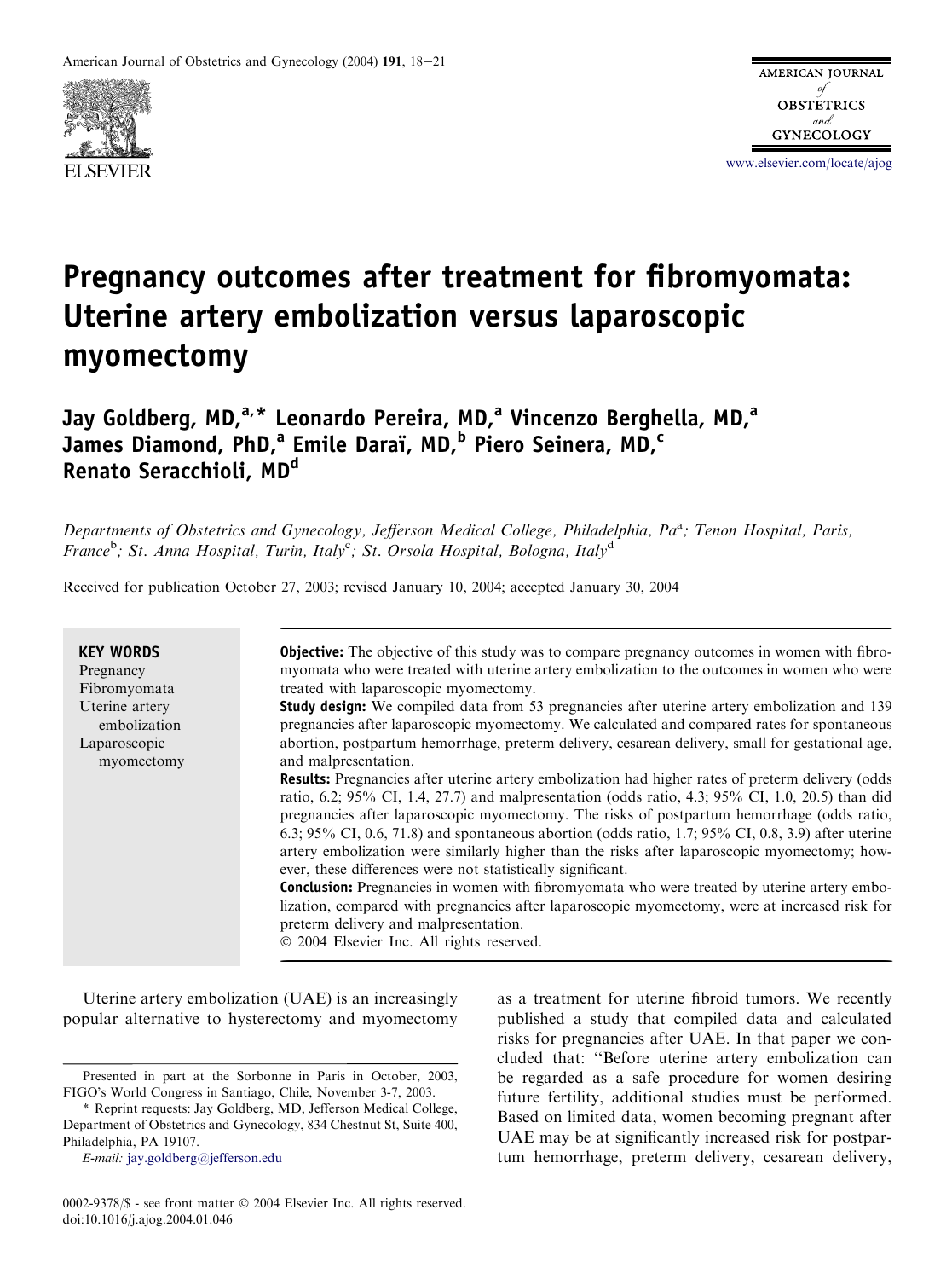

[www.elsevier.com/locate/ajog](http://www.elsevier.com/locate/ajog)

# Pregnancy outcomes after treatment for fibromyomata: Uterine artery embolization versus laparoscopic myomectomy

Jay Goldberg, MD,<sup>a,\*</sup> Leonardo Pereira, MD,<sup>a</sup> Vincenzo Berghella, MD,<sup>a</sup> James Diamond, PhD, $^a$  Emile Daraï, MD, $^b$  Piero Seinera, MD, $^c$ Renato Seracchioli, MDd

Departments of Obstetrics and Gynecology, Jefferson Medical College, Philadelphia, Pa<sup>a</sup>; Tenon Hospital, Paris, France<sup>b</sup>; St. Anna Hospital, Turin, Italy<sup>c</sup>; St. Orsola Hospital, Bologna, Italy<sup>d</sup>

Received for publication October 27, 2003; revised January 10, 2004; accepted January 30, 2004

| <b>KEY WORDS</b>           | <b>Objective:</b> The objective of this study was to compare pregnancy outcomes in women with fibro-                                                                                                                                                                                                                                                                                                                                                                                                                                                                                                                                                                                                                                                                                                                                                                         |
|----------------------------|------------------------------------------------------------------------------------------------------------------------------------------------------------------------------------------------------------------------------------------------------------------------------------------------------------------------------------------------------------------------------------------------------------------------------------------------------------------------------------------------------------------------------------------------------------------------------------------------------------------------------------------------------------------------------------------------------------------------------------------------------------------------------------------------------------------------------------------------------------------------------|
| Pregnancy                  | myomata who were treated with uterine artery embolization to the outcomes in women who were                                                                                                                                                                                                                                                                                                                                                                                                                                                                                                                                                                                                                                                                                                                                                                                  |
| Fibromyomata               | treated with laparoscopic myomectomy.                                                                                                                                                                                                                                                                                                                                                                                                                                                                                                                                                                                                                                                                                                                                                                                                                                        |
| Uterine artery             | <b>Study design:</b> We compiled data from 53 pregnancies after uterine artery embolization and 139                                                                                                                                                                                                                                                                                                                                                                                                                                                                                                                                                                                                                                                                                                                                                                          |
| embolization               | pregnancies after laparoscopic myomectomy. We calculated and compared rates for spontaneous                                                                                                                                                                                                                                                                                                                                                                                                                                                                                                                                                                                                                                                                                                                                                                                  |
| Laparoscopic<br>myomectomy | abortion, postpartum hemorrhage, preterm delivery, cesarean delivery, small for gestational age,<br>and malpresentation.                                                                                                                                                                                                                                                                                                                                                                                                                                                                                                                                                                                                                                                                                                                                                     |
|                            | <b>Results:</b> Pregnancies after uterine artery embolization had higher rates of preterm delivery (odds<br>ratio, 6.2; 95% CI, 1.4, 27.7) and malpresentation (odds ratio, 4.3; 95% CI, 1.0, 20.5) than did<br>pregnancies after laparoscopic myomectomy. The risks of postpartum hemorrhage (odds ratio,<br>6.3; 95% CI, 0.6, 71.8) and spontaneous abortion (odds ratio, 1.7; 95% CI, 0.8, 3.9) after uterine<br>artery embolization were similarly higher than the risks after laparoscopic myomectomy; how-<br>ever, these differences were not statistically significant.<br><b>Conclusion:</b> Pregnancies in women with fibromyomata who were treated by uterine artery embo-<br>lization, compared with pregnancies after laparoscopic myomectomy, were at increased risk for<br>preterm delivery and malpresentation.<br>© 2004 Elsevier Inc. All rights reserved. |

Uterine artery embolization (UAE) is an increasingly popular alternative to hysterectomy and myomectomy

E-mail: [jay.goldberg@jefferson.edu](mailto:jay.goldberg@jefferson.edu)

as a treatment for uterine fibroid tumors. We recently published a study that compiled data and calculated risks for pregnancies after UAE. In that paper we concluded that: ''Before uterine artery embolization can be regarded as a safe procedure for women desiring future fertility, additional studies must be performed. Based on limited data, women becoming pregnant after UAE may be at significantly increased risk for postpartum hemorrhage, preterm delivery, cesarean delivery,

Presented in part at the Sorbonne in Paris in October, 2003, FIGO's World Congress in Santiago, Chile, November 3-7, 2003.

<sup>\*</sup> Reprint requests: Jay Goldberg, MD, Jefferson Medical College, Department of Obstetrics and Gynecology, 834 Chestnut St, Suite 400, Philadelphia, PA 19107.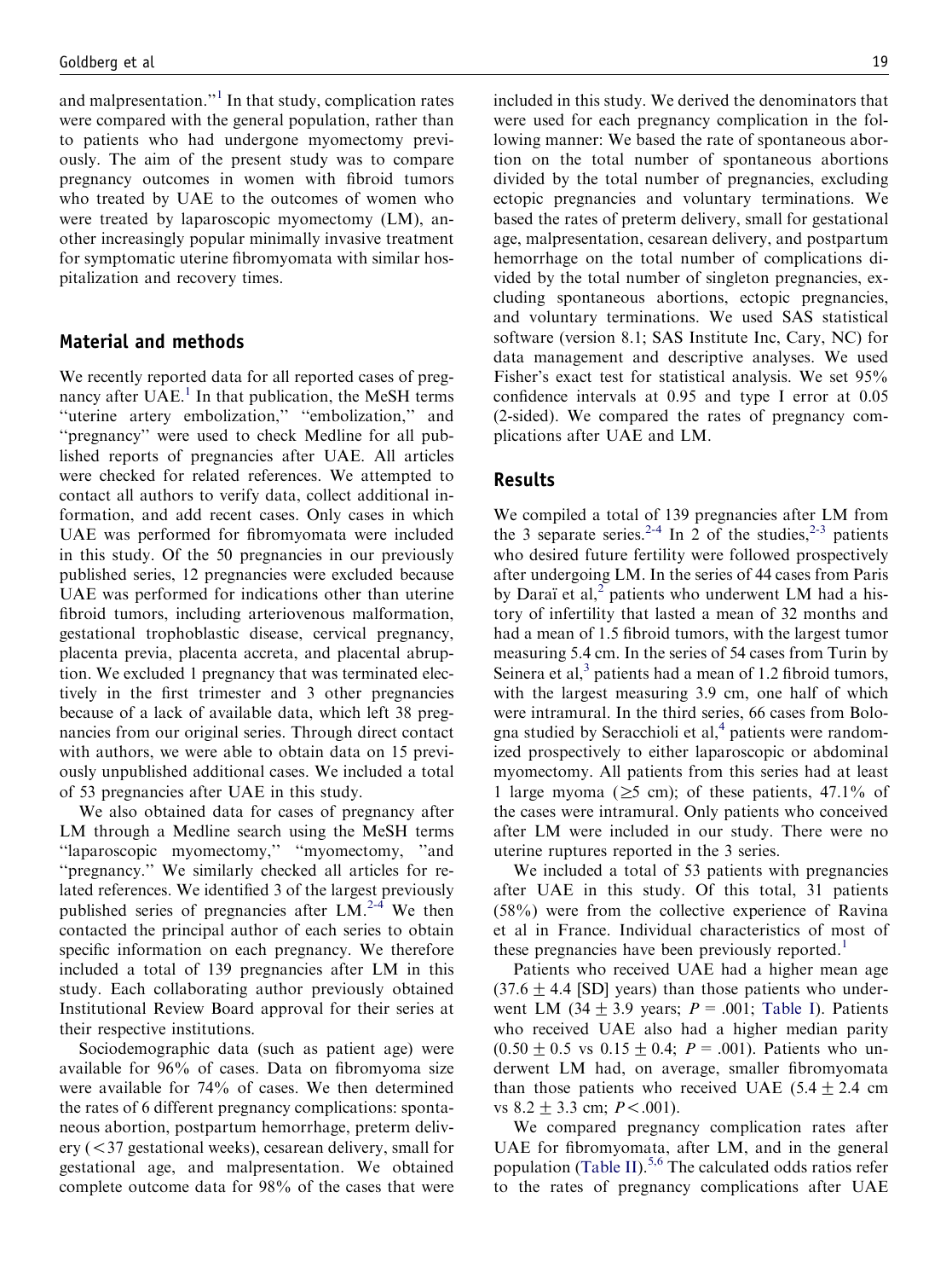and malpresentation."<sup>[1](#page-3-0)</sup> In that study, complication rates were compared with the general population, rather than to patients who had undergone myomectomy previously. The aim of the present study was to compare pregnancy outcomes in women with fibroid tumors who treated by UAE to the outcomes of women who were treated by laparoscopic myomectomy (LM), another increasingly popular minimally invasive treatment for symptomatic uterine fibromyomata with similar hospitalization and recovery times.

### Material and methods

We recently reported data for all reported cases of pregnancy after  $UAE$ .<sup>[1](#page-3-0)</sup> In that publication, the MeSH terms ''uterine artery embolization,'' ''embolization,'' and ''pregnancy'' were used to check Medline for all published reports of pregnancies after UAE. All articles were checked for related references. We attempted to contact all authors to verify data, collect additional information, and add recent cases. Only cases in which UAE was performed for fibromyomata were included in this study. Of the 50 pregnancies in our previously published series, 12 pregnancies were excluded because UAE was performed for indications other than uterine fibroid tumors, including arteriovenous malformation, gestational trophoblastic disease, cervical pregnancy, placenta previa, placenta accreta, and placental abruption. We excluded 1 pregnancy that was terminated electively in the first trimester and 3 other pregnancies because of a lack of available data, which left 38 pregnancies from our original series. Through direct contact with authors, we were able to obtain data on 15 previously unpublished additional cases. We included a total of 53 pregnancies after UAE in this study.

We also obtained data for cases of pregnancy after LM through a Medline search using the MeSH terms ''laparoscopic myomectomy,'' ''myomectomy, ''and ''pregnancy.'' We similarly checked all articles for related references. We identified 3 of the largest previously published series of pregnancies after  $LM.^{2-4}$  $LM.^{2-4}$  $LM.^{2-4}$  We then contacted the principal author of each series to obtain specific information on each pregnancy. We therefore included a total of 139 pregnancies after LM in this study. Each collaborating author previously obtained Institutional Review Board approval for their series at their respective institutions.

Sociodemographic data (such as patient age) were available for 96% of cases. Data on fibromyoma size were available for 74% of cases. We then determined the rates of 6 different pregnancy complications: spontaneous abortion, postpartum hemorrhage, preterm deliv- $\text{ery } \left( \langle 37 \rangle \right)$  gestational weeks), cesarean delivery, small for gestational age, and malpresentation. We obtained complete outcome data for 98% of the cases that were

included in this study. We derived the denominators that were used for each pregnancy complication in the following manner: We based the rate of spontaneous abortion on the total number of spontaneous abortions divided by the total number of pregnancies, excluding ectopic pregnancies and voluntary terminations. We based the rates of preterm delivery, small for gestational age, malpresentation, cesarean delivery, and postpartum hemorrhage on the total number of complications divided by the total number of singleton pregnancies, excluding spontaneous abortions, ectopic pregnancies, and voluntary terminations. We used SAS statistical software (version 8.1; SAS Institute Inc, Cary, NC) for data management and descriptive analyses. We used Fisher's exact test for statistical analysis. We set 95% confidence intervals at 0.95 and type I error at 0.05 (2-sided). We compared the rates of pregnancy complications after UAE and LM.

### Results

We compiled a total of 139 pregnancies after LM from the 3 separate series.<sup>[2-4](#page-3-0)</sup> In 2 of the studies,<sup>[2-3](#page-3-0)</sup> patients who desired future fertility were followed prospectively after undergoing LM. In the series of 44 cases from Paris by Daraï et al, $^2$  $^2$  patients who underwent LM had a history of infertility that lasted a mean of 32 months and had a mean of 1.5 fibroid tumors, with the largest tumor measuring 5.4 cm. In the series of 54 cases from Turin by Seinera et al, $3$  patients had a mean of 1.2 fibroid tumors, with the largest measuring 3.9 cm, one half of which were intramural. In the third series, 66 cases from Bolo-gna studied by Seracchioli et al,<sup>[4](#page-3-0)</sup> patients were randomized prospectively to either laparoscopic or abdominal myomectomy. All patients from this series had at least 1 large myoma ( $\geq$ 5 cm); of these patients, 47.1% of the cases were intramural. Only patients who conceived after LM were included in our study. There were no uterine ruptures reported in the 3 series.

We included a total of 53 patients with pregnancies after UAE in this study. Of this total, 31 patients (58%) were from the collective experience of Ravina et al in France. Individual characteristics of most of these pregnancies have been previously reported.<sup>[1](#page-3-0)</sup>

Patients who received UAE had a higher mean age  $(37.6 \pm 4.4$  [SD] years) than those patients who underwent LM  $(34 \pm 3.9 \text{ years}; P = .001; \text{ Table I})$ . Patients who received UAE also had a higher median parity  $(0.50 \pm 0.5 \text{ vs } 0.15 \pm 0.4; P = .001)$ . Patients who underwent LM had, on average, smaller fibromyomata than those patients who received UAE  $(5.4 \pm 2.4 \text{ cm})$ vs  $8.2 + 3.3$  cm;  $P < .001$ ).

We compared pregnancy complication rates after UAE for fibromyomata, after LM, and in the general population ([Table II](#page-3-0)).[5,6](#page-3-0) The calculated odds ratios refer to the rates of pregnancy complications after UAE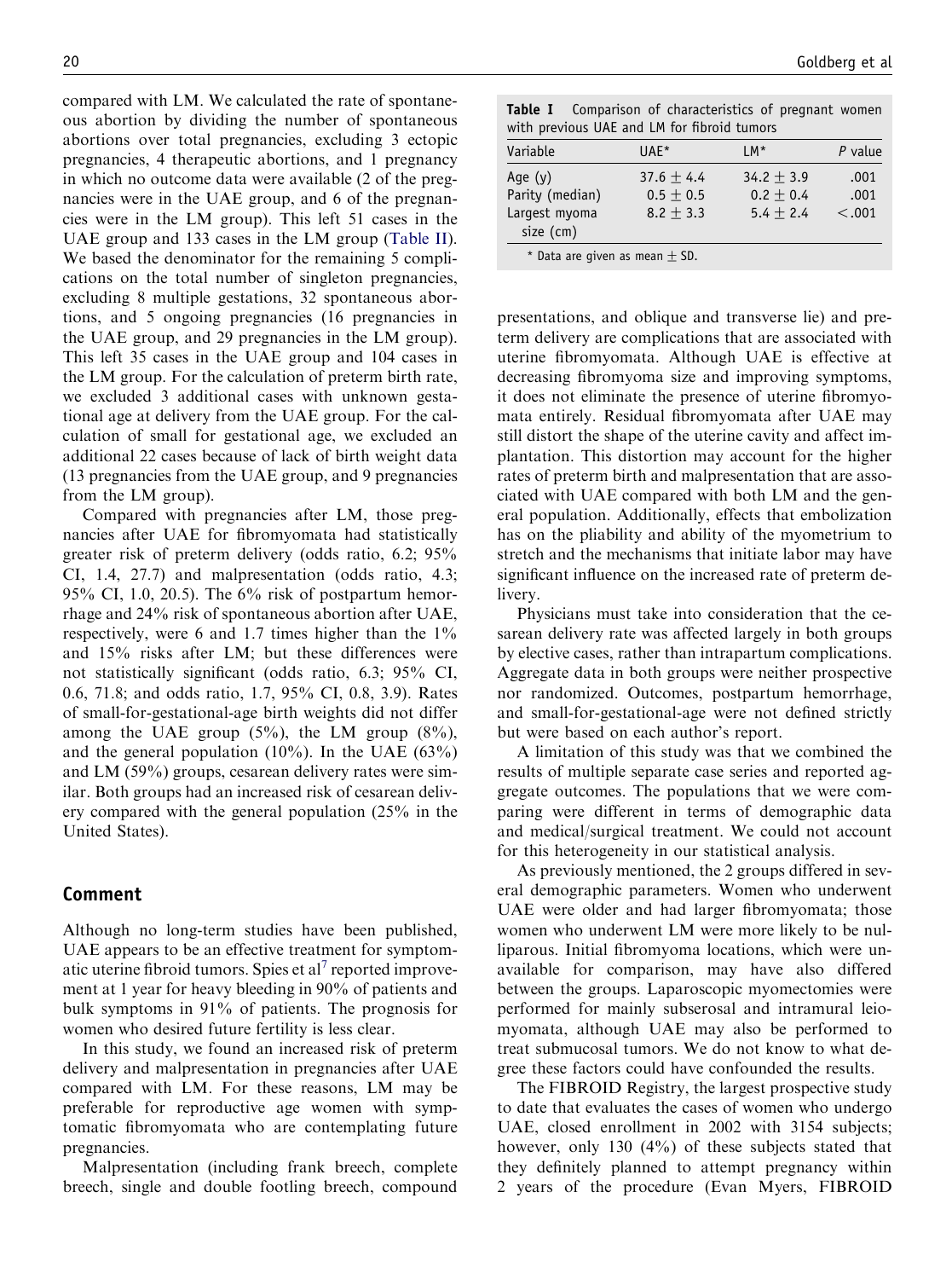<span id="page-2-0"></span>compared with LM. We calculated the rate of spontaneous abortion by dividing the number of spontaneous abortions over total pregnancies, excluding 3 ectopic pregnancies, 4 therapeutic abortions, and 1 pregnancy in which no outcome data were available (2 of the pregnancies were in the UAE group, and 6 of the pregnancies were in the LM group). This left 51 cases in the UAE group and 133 cases in the LM group ([Table II](#page-3-0)). We based the denominator for the remaining 5 complications on the total number of singleton pregnancies, excluding 8 multiple gestations, 32 spontaneous abortions, and 5 ongoing pregnancies (16 pregnancies in the UAE group, and 29 pregnancies in the LM group). This left 35 cases in the UAE group and 104 cases in the LM group. For the calculation of preterm birth rate, we excluded 3 additional cases with unknown gestational age at delivery from the UAE group. For the calculation of small for gestational age, we excluded an additional 22 cases because of lack of birth weight data (13 pregnancies from the UAE group, and 9 pregnancies from the LM group).

Compared with pregnancies after LM, those pregnancies after UAE for fibromyomata had statistically greater risk of preterm delivery (odds ratio, 6.2; 95% CI, 1.4, 27.7) and malpresentation (odds ratio, 4.3; 95% CI, 1.0, 20.5). The 6% risk of postpartum hemorrhage and 24% risk of spontaneous abortion after UAE, respectively, were 6 and 1.7 times higher than the 1% and 15% risks after LM; but these differences were not statistically significant (odds ratio, 6.3; 95% CI, 0.6, 71.8; and odds ratio, 1.7, 95% CI, 0.8, 3.9). Rates of small-for-gestational-age birth weights did not differ among the UAE group  $(5\%)$ , the LM group  $(8\%)$ , and the general population  $(10\%)$ . In the UAE  $(63\%)$ and LM (59%) groups, cesarean delivery rates were similar. Both groups had an increased risk of cesarean delivery compared with the general population (25% in the United States).

### Comment

Although no long-term studies have been published, UAE appears to be an effective treatment for symptomatic uterine fibroid tumors. Spies et al' reported improvement at 1 year for heavy bleeding in 90% of patients and bulk symptoms in 91% of patients. The prognosis for women who desired future fertility is less clear.

In this study, we found an increased risk of preterm delivery and malpresentation in pregnancies after UAE compared with LM. For these reasons, LM may be preferable for reproductive age women with symptomatic fibromyomata who are contemplating future pregnancies.

Malpresentation (including frank breech, complete breech, single and double footling breech, compound

|                                             |  |  | <b>Table I</b> Comparison of characteristics of pregnant women |  |  |  |
|---------------------------------------------|--|--|----------------------------------------------------------------|--|--|--|
| with previous UAE and LM for fibroid tumors |  |  |                                                                |  |  |  |

| WILD PICTIONS ONE MIM ET TOT HOTOIM CANDIS |              |              |         |  |  |  |  |
|--------------------------------------------|--------------|--------------|---------|--|--|--|--|
| Variable                                   | $IIAF*$      | $IM*$        | P value |  |  |  |  |
| Age $(y)$                                  | $37.6 + 4.4$ | $34.2 + 3.9$ | .001    |  |  |  |  |
| Parity (median)                            | $0.5 + 0.5$  | $0.2 + 0.4$  | .001    |  |  |  |  |
| Largest myoma<br>size (cm)                 | $8.2 + 3.3$  | $5.4 + 2.4$  | < .001  |  |  |  |  |
|                                            |              |              |         |  |  |  |  |

\* Data are given as mean  $\pm$  SD.

presentations, and oblique and transverse lie) and preterm delivery are complications that are associated with uterine fibromyomata. Although UAE is effective at decreasing fibromyoma size and improving symptoms, it does not eliminate the presence of uterine fibromyomata entirely. Residual fibromyomata after UAE may still distort the shape of the uterine cavity and affect implantation. This distortion may account for the higher rates of preterm birth and malpresentation that are associated with UAE compared with both LM and the general population. Additionally, effects that embolization has on the pliability and ability of the myometrium to stretch and the mechanisms that initiate labor may have significant influence on the increased rate of preterm delivery.

Physicians must take into consideration that the cesarean delivery rate was affected largely in both groups by elective cases, rather than intrapartum complications. Aggregate data in both groups were neither prospective nor randomized. Outcomes, postpartum hemorrhage, and small-for-gestational-age were not defined strictly but were based on each author's report.

A limitation of this study was that we combined the results of multiple separate case series and reported aggregate outcomes. The populations that we were comparing were different in terms of demographic data and medical/surgical treatment. We could not account for this heterogeneity in our statistical analysis.

As previously mentioned, the 2 groups differed in several demographic parameters. Women who underwent UAE were older and had larger fibromyomata; those women who underwent LM were more likely to be nulliparous. Initial fibromyoma locations, which were unavailable for comparison, may have also differed between the groups. Laparoscopic myomectomies were performed for mainly subserosal and intramural leiomyomata, although UAE may also be performed to treat submucosal tumors. We do not know to what degree these factors could have confounded the results.

The FIBROID Registry, the largest prospective study to date that evaluates the cases of women who undergo UAE, closed enrollment in 2002 with 3154 subjects; however, only 130 (4%) of these subjects stated that they definitely planned to attempt pregnancy within 2 years of the procedure (Evan Myers, FIBROID